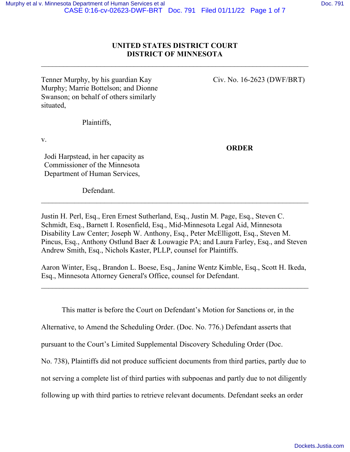## **UNITED STATES DISTRICT COURT DISTRICT OF MINNESOTA**

 $\_$  , and the set of the set of the set of the set of the set of the set of the set of the set of the set of the set of the set of the set of the set of the set of the set of the set of the set of the set of the set of th

Tenner Murphy, by his guardian Kay Civ. No. 16-2623 (DWF/BRT) Murphy; Marrie Bottelson; and Dionne Swanson; on behalf of others similarly situated,

Plaintiffs,

v.

**ORDER**

Jodi Harpstead, in her capacity as Commissioner of the Minnesota Department of Human Services,

Defendant.

Justin H. Perl, Esq., Eren Ernest Sutherland, Esq., Justin M. Page, Esq., Steven C. Schmidt, Esq., Barnett I. Rosenfield, Esq., Mid-Minnesota Legal Aid, Minnesota Disability Law Center; Joseph W. Anthony, Esq., Peter McElligott, Esq., Steven M. Pincus, Esq., Anthony Ostlund Baer & Louwagie PA; and Laura Farley, Esq., and Steven Andrew Smith, Esq., Nichols Kaster, PLLP, counsel for Plaintiffs.

 $\_$  , and the contribution of the contribution of  $\mathcal{L}_1$  , and  $\mathcal{L}_2$  , and  $\mathcal{L}_3$  , and  $\mathcal{L}_4$  , and  $\mathcal{L}_5$ 

Aaron Winter, Esq., Brandon L. Boese, Esq., Janine Wentz Kimble, Esq., Scott H. Ikeda, Esq., Minnesota Attorney General's Office, counsel for Defendant.

 $\_$  , and the contribution of the contribution of  $\mathcal{L}_\mathcal{A}$  , and the contribution of  $\mathcal{L}_\mathcal{A}$ 

This matter is before the Court on Defendant's Motion for Sanctions or, in the

Alternative, to Amend the Scheduling Order. (Doc. No. 776.) Defendant asserts that

pursuant to the Court's Limited Supplemental Discovery Scheduling Order (Doc.

No. 738), Plaintiffs did not produce sufficient documents from third parties, partly due to

not serving a complete list of third parties with subpoenas and partly due to not diligently

following up with third parties to retrieve relevant documents. Defendant seeks an order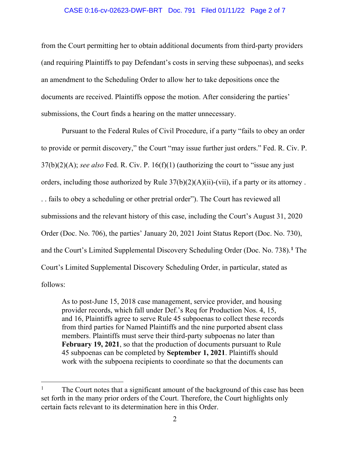#### CASE 0:16-cv-02623-DWF-BRT Doc. 791 Filed 01/11/22 Page 2 of 7

from the Court permitting her to obtain additional documents from third-party providers (and requiring Plaintiffs to pay Defendant's costs in serving these subpoenas), and seeks an amendment to the Scheduling Order to allow her to take depositions once the documents are received. Plaintiffs oppose the motion. After considering the parties' submissions, the Court finds a hearing on the matter unnecessary.

 Pursuant to the Federal Rules of Civil Procedure, if a party "fails to obey an order to provide or permit discovery," the Court "may issue further just orders." Fed. R. Civ. P. 37(b)(2)(A); *see also* Fed. R. Civ. P. 16(f)(1) (authorizing the court to "issue any just orders, including those authorized by Rule 37(b)(2)(A)(ii)-(vii), if a party or its attorney . . . fails to obey a scheduling or other pretrial order"). The Court has reviewed all submissions and the relevant history of this case, including the Court's August 31, 2020 Order (Doc. No. 706), the parties' January 20, 2021 Joint Status Report (Doc. No. 730), and the Court's Limited Supplemental Discovery Scheduling Order (Doc. No. 738).**[1](#page-1-0)** The Court's Limited Supplemental Discovery Scheduling Order, in particular, stated as follows:

As to post-June 15, 2018 case management, service provider, and housing provider records, which fall under Def.'s Req for Production Nos. 4, 15, and 16, Plaintiffs agree to serve Rule 45 subpoenas to collect these records from third parties for Named Plaintiffs and the nine purported absent class members. Plaintiffs must serve their third-party subpoenas no later than **February 19, 2021**, so that the production of documents pursuant to Rule 45 subpoenas can be completed by **September 1, 2021**. Plaintiffs should work with the subpoena recipients to coordinate so that the documents can

<span id="page-1-0"></span><sup>1</sup> The Court notes that a significant amount of the background of this case has been set forth in the many prior orders of the Court. Therefore, the Court highlights only certain facts relevant to its determination here in this Order.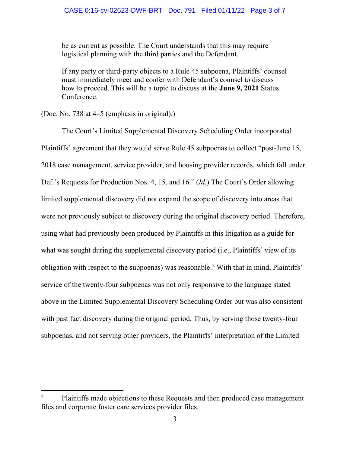be as current as possible. The Court understands that this may require logistical planning with the third parties and the Defendant.

If any party or third-party objects to a Rule 45 subpoena, Plaintiffs' counsel must immediately meet and confer with Defendant's counsel to discuss how to proceed. This will be a topic to discuss at the **June 9, 2021** Status Conference.

(Doc. No. 738 at 4–5 (emphasis in original).)

The Court's Limited Supplemental Discovery Scheduling Order incorporated Plaintiffs' agreement that they would serve Rule 45 subpoenas to collect "post-June 15, 2018 case management, service provider, and housing provider records, which fall under Def.'s Requests for Production Nos. 4, 15, and 16." (*Id.*) The Court's Order allowing limited supplemental discovery did not expand the scope of discovery into areas that were not previously subject to discovery during the original discovery period. Therefore, using what had previously been produced by Plaintiffs in this litigation as a guide for what was sought during the supplemental discovery period (i.e., Plaintiffs' view of its obligation with respect to the subpoenas) was reasonable.<sup>[2](#page-2-0)</sup> With that in mind, Plaintiffs' service of the twenty-four subpoenas was not only responsive to the language stated above in the Limited Supplemental Discovery Scheduling Order but was also consistent with past fact discovery during the original period. Thus, by serving those twenty-four subpoenas, and not serving other providers, the Plaintiffs' interpretation of the Limited

<span id="page-2-0"></span><sup>2</sup> Plaintiffs made objections to these Requests and then produced case management files and corporate foster care services provider files.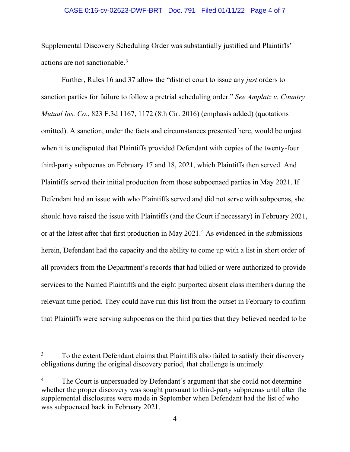#### CASE 0:16-cv-02623-DWF-BRT Doc. 791 Filed 01/11/22 Page 4 of 7

Supplemental Discovery Scheduling Order was substantially justified and Plaintiffs' actions are not sanctionable.<sup>[3](#page-3-0)</sup>

 Further, Rules 16 and 37 allow the "district court to issue any *just* orders to sanction parties for failure to follow a pretrial scheduling order." *See Amplatz v. Country Mutual Ins. Co*., 823 F.3d 1167, 1172 (8th Cir. 2016) (emphasis added) (quotations omitted). A sanction, under the facts and circumstances presented here, would be unjust when it is undisputed that Plaintiffs provided Defendant with copies of the twenty-four third-party subpoenas on February 17 and 18, 2021, which Plaintiffs then served. And Plaintiffs served their initial production from those subpoenaed parties in May 2021. If Defendant had an issue with who Plaintiffs served and did not serve with subpoenas, she should have raised the issue with Plaintiffs (and the Court if necessary) in February 2021, or at the latest after that first production in May 2021.<sup>[4](#page-3-1)</sup> As evidenced in the submissions herein, Defendant had the capacity and the ability to come up with a list in short order of all providers from the Department's records that had billed or were authorized to provide services to the Named Plaintiffs and the eight purported absent class members during the relevant time period. They could have run this list from the outset in February to confirm that Plaintiffs were serving subpoenas on the third parties that they believed needed to be

<span id="page-3-0"></span><sup>3</sup> To the extent Defendant claims that Plaintiffs also failed to satisfy their discovery obligations during the original discovery period, that challenge is untimely.

<span id="page-3-1"></span><sup>4</sup> The Court is unpersuaded by Defendant's argument that she could not determine whether the proper discovery was sought pursuant to third-party subpoenas until after the supplemental disclosures were made in September when Defendant had the list of who was subpoenaed back in February 2021.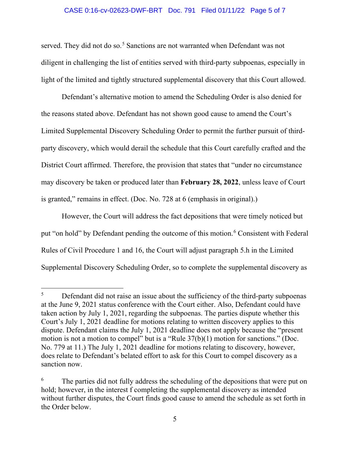#### CASE 0:16-cv-02623-DWF-BRT Doc. 791 Filed 01/11/22 Page 5 of 7

served. They did not do so.<sup>[5](#page-4-0)</sup> Sanctions are not warranted when Defendant was not diligent in challenging the list of entities served with third-party subpoenas, especially in light of the limited and tightly structured supplemental discovery that this Court allowed.

Defendant's alternative motion to amend the Scheduling Order is also denied for the reasons stated above. Defendant has not shown good cause to amend the Court's Limited Supplemental Discovery Scheduling Order to permit the further pursuit of thirdparty discovery, which would derail the schedule that this Court carefully crafted and the District Court affirmed. Therefore, the provision that states that "under no circumstance may discovery be taken or produced later than **February 28, 2022**, unless leave of Court is granted," remains in effect. (Doc. No. 728 at 6 (emphasis in original).)

However, the Court will address the fact depositions that were timely noticed but put "on hold" by Defendant pending the outcome of this motion.<sup>[6](#page-4-1)</sup> Consistent with Federal Rules of Civil Procedure 1 and 16, the Court will adjust paragraph 5.h in the Limited Supplemental Discovery Scheduling Order, so to complete the supplemental discovery as

<span id="page-4-0"></span><sup>5</sup> Defendant did not raise an issue about the sufficiency of the third-party subpoenas at the June 9, 2021 status conference with the Court either. Also, Defendant could have taken action by July 1, 2021, regarding the subpoenas. The parties dispute whether this Court's July 1, 2021 deadline for motions relating to written discovery applies to this dispute. Defendant claims the July 1, 2021 deadline does not apply because the "present motion is not a motion to compel" but is a "Rule 37(b)(1) motion for sanctions." (Doc. No. 779 at 11.) The July 1, 2021 deadline for motions relating to discovery, however, does relate to Defendant's belated effort to ask for this Court to compel discovery as a sanction now.

<span id="page-4-1"></span><sup>6</sup> The parties did not fully address the scheduling of the depositions that were put on hold; however, in the interest f completing the supplemental discovery as intended without further disputes, the Court finds good cause to amend the schedule as set forth in the Order below.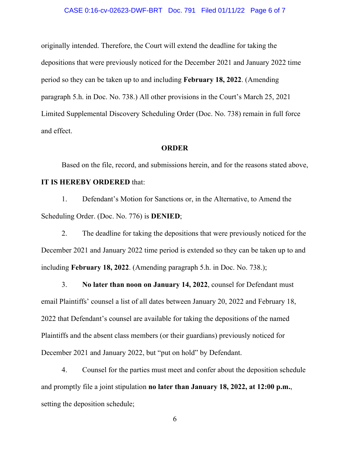#### CASE 0:16-cv-02623-DWF-BRT Doc. 791 Filed 01/11/22 Page 6 of 7

originally intended. Therefore, the Court will extend the deadline for taking the depositions that were previously noticed for the December 2021 and January 2022 time period so they can be taken up to and including **February 18, 2022**. (Amending paragraph 5.h. in Doc. No. 738.) All other provisions in the Court's March 25, 2021 Limited Supplemental Discovery Scheduling Order (Doc. No. 738) remain in full force and effect.

### **ORDER**

Based on the file, record, and submissions herein, and for the reasons stated above, **IT IS HEREBY ORDERED** that:

# 1. Defendant's Motion for Sanctions or, in the Alternative, to Amend the Scheduling Order. (Doc. No. 776) is **DENIED**;

2. The deadline for taking the depositions that were previously noticed for the December 2021 and January 2022 time period is extended so they can be taken up to and including **February 18, 2022**. (Amending paragraph 5.h. in Doc. No. 738.);

3. **No later than noon on January 14, 2022**, counsel for Defendant must email Plaintiffs' counsel a list of all dates between January 20, 2022 and February 18, 2022 that Defendant's counsel are available for taking the depositions of the named Plaintiffs and the absent class members (or their guardians) previously noticed for December 2021 and January 2022, but "put on hold" by Defendant.

4. Counsel for the parties must meet and confer about the deposition schedule and promptly file a joint stipulation **no later than January 18, 2022, at 12:00 p.m.**, setting the deposition schedule;

6